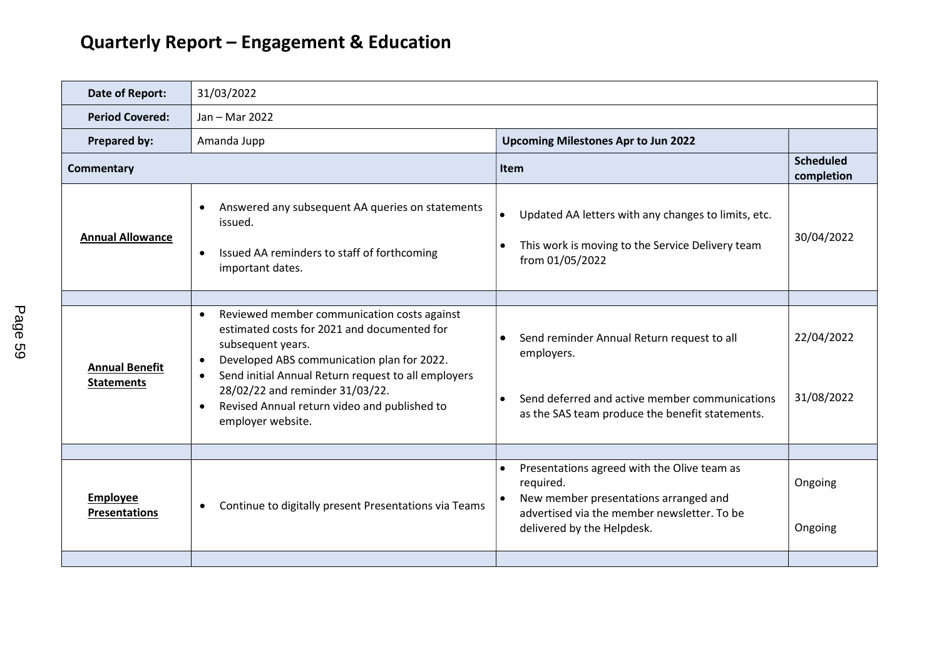| Date of Report:                            | 31/03/2022                                                                                                                                                                                                                                                                                                                                                               |                                                                                                                                                                                                          |                                |
|--------------------------------------------|--------------------------------------------------------------------------------------------------------------------------------------------------------------------------------------------------------------------------------------------------------------------------------------------------------------------------------------------------------------------------|----------------------------------------------------------------------------------------------------------------------------------------------------------------------------------------------------------|--------------------------------|
|                                            |                                                                                                                                                                                                                                                                                                                                                                          |                                                                                                                                                                                                          |                                |
| <b>Period Covered:</b>                     | Jan - Mar 2022                                                                                                                                                                                                                                                                                                                                                           |                                                                                                                                                                                                          |                                |
| <b>Prepared by:</b>                        | Amanda Jupp<br><b>Upcoming Milestones Apr to Jun 2022</b>                                                                                                                                                                                                                                                                                                                |                                                                                                                                                                                                          |                                |
| <b>Commentary</b>                          |                                                                                                                                                                                                                                                                                                                                                                          | Item                                                                                                                                                                                                     | <b>Scheduled</b><br>completion |
| <b>Annual Allowance</b>                    | Answered any subsequent AA queries on statements<br>$\bullet$<br>issued.<br>Issued AA reminders to staff of forthcoming<br>$\bullet$<br>important dates.                                                                                                                                                                                                                 | Updated AA letters with any changes to limits, etc.<br>$\bullet$<br>This work is moving to the Service Delivery team<br>from 01/05/2022                                                                  | 30/04/2022                     |
|                                            |                                                                                                                                                                                                                                                                                                                                                                          |                                                                                                                                                                                                          |                                |
| <b>Annual Benefit</b><br><b>Statements</b> | Reviewed member communication costs against<br>$\bullet$<br>estimated costs for 2021 and documented for<br>subsequent years.<br>Developed ABS communication plan for 2022.<br>$\bullet$<br>Send initial Annual Return request to all employers<br>٠<br>28/02/22 and reminder 31/03/22.<br>Revised Annual return video and published to<br>$\bullet$<br>employer website. | Send reminder Annual Return request to all<br>employers.<br>Send deferred and active member communications<br>as the SAS team produce the benefit statements.                                            | 22/04/2022<br>31/08/2022       |
|                                            |                                                                                                                                                                                                                                                                                                                                                                          |                                                                                                                                                                                                          |                                |
| <b>Employee</b><br><b>Presentations</b>    | Continue to digitally present Presentations via Teams<br>$\bullet$                                                                                                                                                                                                                                                                                                       | Presentations agreed with the Olive team as<br>$\bullet$<br>required.<br>New member presentations arranged and<br>$\bullet$<br>advertised via the member newsletter. To be<br>delivered by the Helpdesk. | Ongoing<br>Ongoing             |
|                                            |                                                                                                                                                                                                                                                                                                                                                                          |                                                                                                                                                                                                          |                                |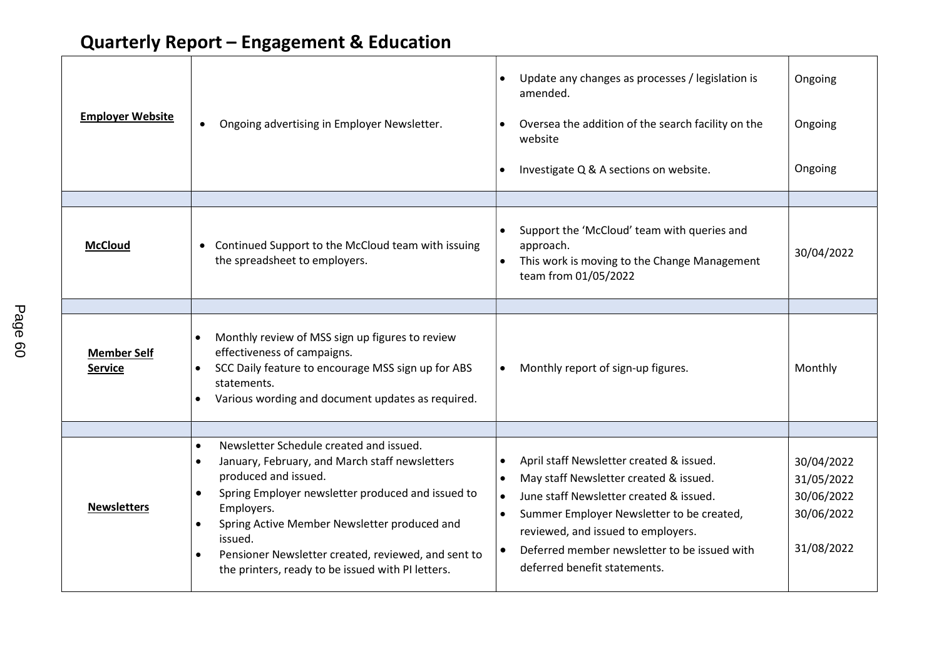| <b>Employer Website</b>              | Ongoing advertising in Employer Newsletter.<br>$\bullet$                                                                                                                                                                                                                                                                                                                                                                     | Update any changes as processes / legislation is<br>$\bullet$<br>amended.<br>Oversea the addition of the search facility on the<br>$\bullet$<br>website<br>Investigate Q & A sections on website.                                                                                                                                                                 | Ongoing<br>Ongoing<br>Ongoing                                      |
|--------------------------------------|------------------------------------------------------------------------------------------------------------------------------------------------------------------------------------------------------------------------------------------------------------------------------------------------------------------------------------------------------------------------------------------------------------------------------|-------------------------------------------------------------------------------------------------------------------------------------------------------------------------------------------------------------------------------------------------------------------------------------------------------------------------------------------------------------------|--------------------------------------------------------------------|
| <b>McCloud</b>                       | Continued Support to the McCloud team with issuing<br>$\bullet$<br>the spreadsheet to employers.                                                                                                                                                                                                                                                                                                                             | Support the 'McCloud' team with queries and<br>$\bullet$<br>approach.<br>This work is moving to the Change Management<br>$\bullet$<br>team from 01/05/2022                                                                                                                                                                                                        | 30/04/2022                                                         |
|                                      |                                                                                                                                                                                                                                                                                                                                                                                                                              |                                                                                                                                                                                                                                                                                                                                                                   |                                                                    |
| <b>Member Self</b><br><b>Service</b> | Monthly review of MSS sign up figures to review<br>$\bullet$<br>effectiveness of campaigns.<br>SCC Daily feature to encourage MSS sign up for ABS<br>statements.<br>Various wording and document updates as required.                                                                                                                                                                                                        | Monthly report of sign-up figures.<br>$\bullet$                                                                                                                                                                                                                                                                                                                   | Monthly                                                            |
|                                      |                                                                                                                                                                                                                                                                                                                                                                                                                              |                                                                                                                                                                                                                                                                                                                                                                   |                                                                    |
| <b>Newsletters</b>                   | Newsletter Schedule created and issued.<br>$\bullet$<br>January, February, and March staff newsletters<br>$\bullet$<br>produced and issued.<br>Spring Employer newsletter produced and issued to<br>$\bullet$<br>Employers.<br>Spring Active Member Newsletter produced and<br>$\bullet$<br>issued.<br>Pensioner Newsletter created, reviewed, and sent to<br>$\bullet$<br>the printers, ready to be issued with PI letters. | April staff Newsletter created & issued.<br>$\bullet$<br>May staff Newsletter created & issued.<br>$\bullet$<br>June staff Newsletter created & issued.<br>$\bullet$<br>Summer Employer Newsletter to be created,<br>$\bullet$<br>reviewed, and issued to employers.<br>Deferred member newsletter to be issued with<br>$\bullet$<br>deferred benefit statements. | 30/04/2022<br>31/05/2022<br>30/06/2022<br>30/06/2022<br>31/08/2022 |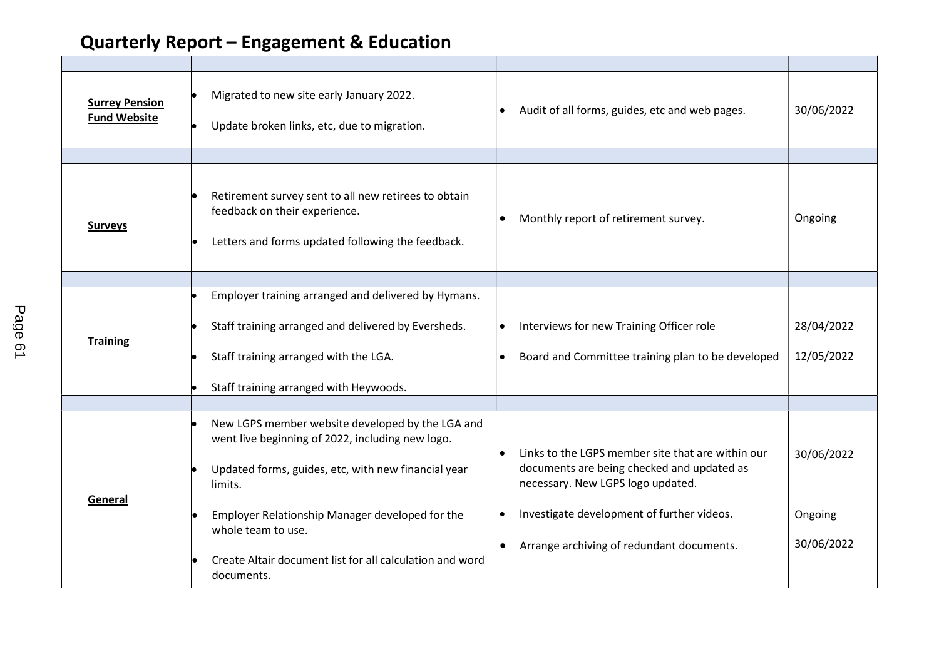| <b>Surrey Pension</b><br><b>Fund Website</b> | Migrated to new site early January 2022.<br>Update broken links, etc, due to migration.                                                                                |           | Audit of all forms, guides, etc and web pages.                                                                                       | 30/06/2022 |
|----------------------------------------------|------------------------------------------------------------------------------------------------------------------------------------------------------------------------|-----------|--------------------------------------------------------------------------------------------------------------------------------------|------------|
|                                              |                                                                                                                                                                        |           |                                                                                                                                      |            |
| <b>Surveys</b>                               | Retirement survey sent to all new retirees to obtain<br>feedback on their experience.<br>Letters and forms updated following the feedback.                             | $\bullet$ | Monthly report of retirement survey.                                                                                                 | Ongoing    |
|                                              |                                                                                                                                                                        |           |                                                                                                                                      |            |
|                                              | Employer training arranged and delivered by Hymans.                                                                                                                    |           |                                                                                                                                      |            |
| <b>Training</b>                              | Staff training arranged and delivered by Eversheds.                                                                                                                    | $\bullet$ | Interviews for new Training Officer role                                                                                             | 28/04/2022 |
|                                              | Staff training arranged with the LGA.                                                                                                                                  | $\bullet$ | Board and Committee training plan to be developed                                                                                    | 12/05/2022 |
|                                              | Staff training arranged with Heywoods.                                                                                                                                 |           |                                                                                                                                      |            |
|                                              |                                                                                                                                                                        |           |                                                                                                                                      |            |
| General                                      | New LGPS member website developed by the LGA and<br>went live beginning of 2022, including new logo.<br>Updated forms, guides, etc, with new financial year<br>limits. |           | Links to the LGPS member site that are within our<br>documents are being checked and updated as<br>necessary. New LGPS logo updated. | 30/06/2022 |
|                                              | Employer Relationship Manager developed for the<br>whole team to use.                                                                                                  | $\bullet$ | Investigate development of further videos.                                                                                           | Ongoing    |
|                                              | Create Altair document list for all calculation and word<br>documents.                                                                                                 |           | Arrange archiving of redundant documents.                                                                                            | 30/06/2022 |